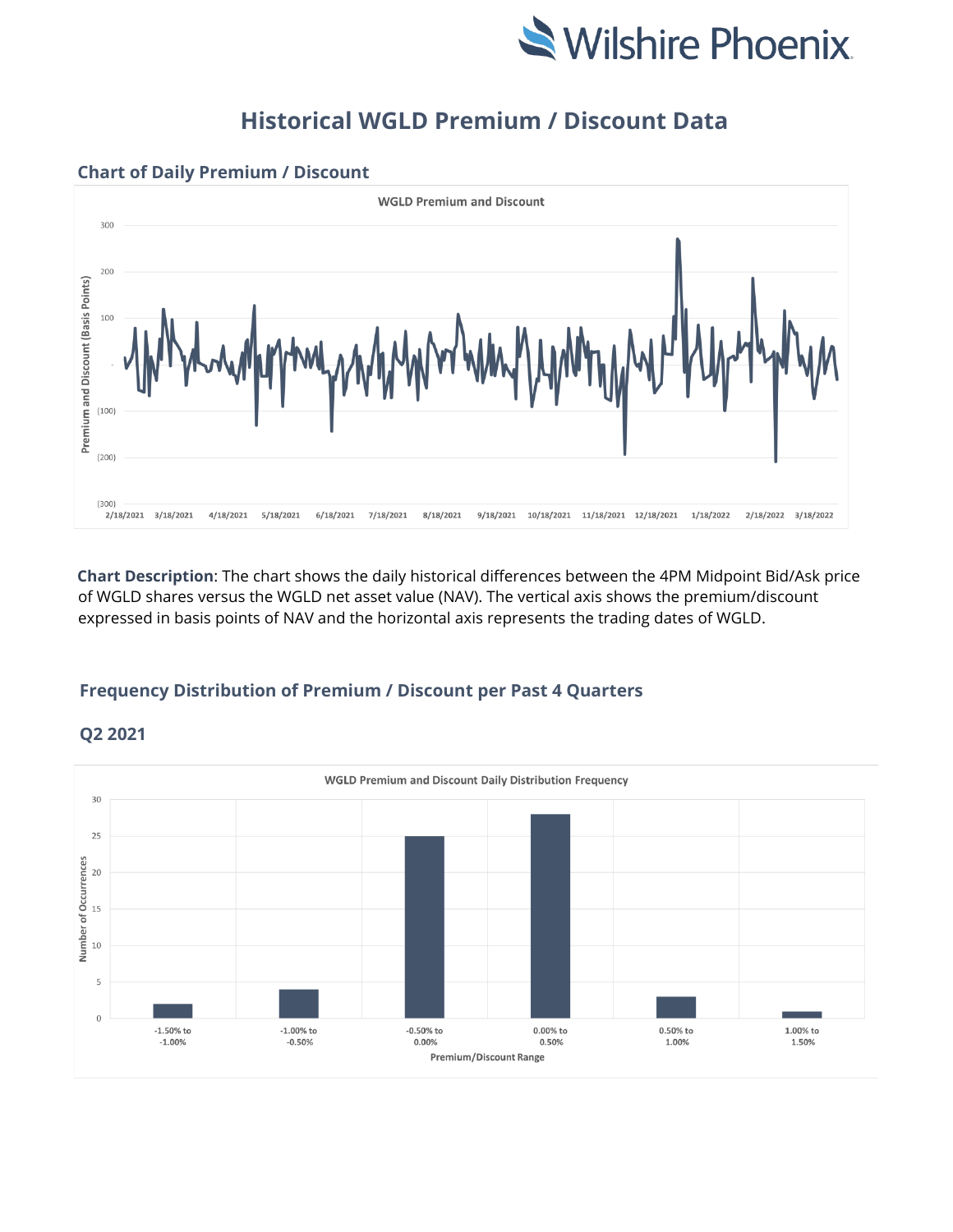

## **Historical WGLD Premium / Discount Data**



## **Chart of Daily Premium / Discount**

**Chart Description**: The chart shows the daily historical differences between the 4PM Midpoint Bid/Ask price of WGLD shares versus the WGLD net asset value (NAV). The vertical axis shows the premium/discount expressed in basis points of NAV and the horizontal axis represents the trading dates of WGLD.

## **Frequency Distribution of Premium / Discount per Past 4 Quarters**



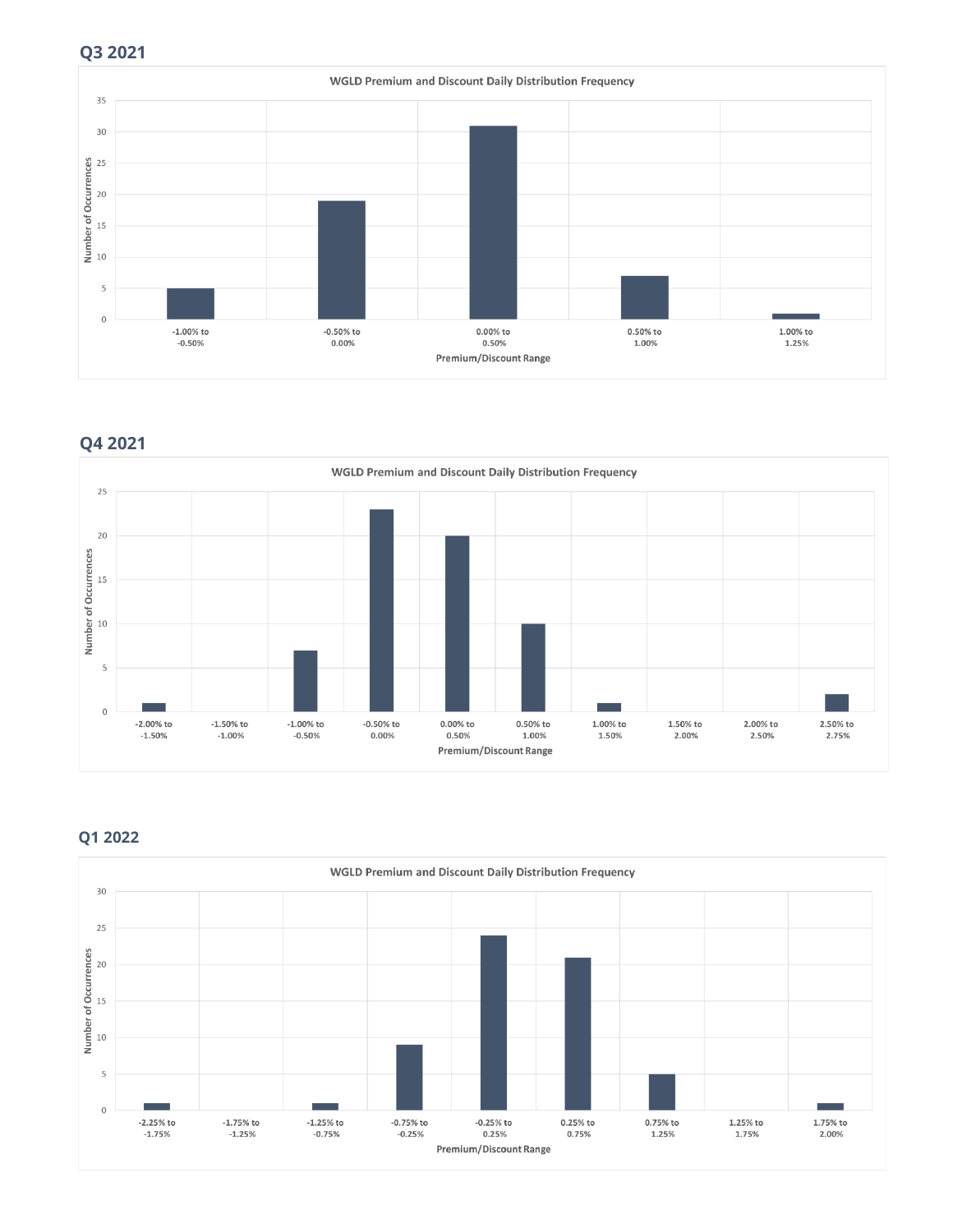

**Q4 2021** 



## **Q1 2022**